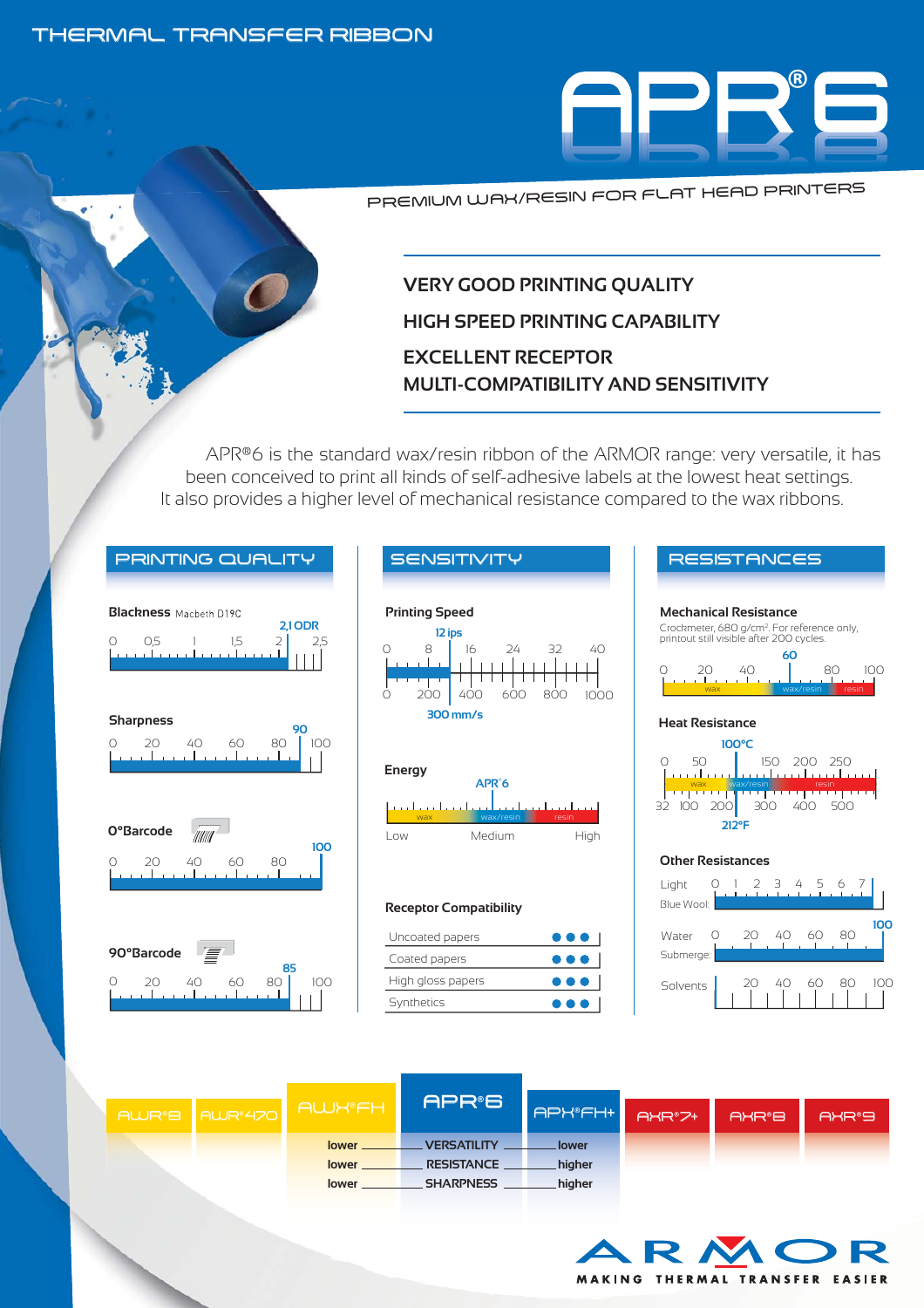# THERMAL TRANSFER RIBBON



PREMIUM WAX/RESIN FOR FLAT HEAD PRINTERS

# **VERY GOOD PRINTING QUALITY HIGH SPEED PRINTING CAPABILITY EXCELLENT RECEPTOR MULTI-COMPATIBILITY AND SENSITIVITY**

APR®6 is the standard wax/resin ribbon of the ARMOR range: very versatile, it has been conceived to print all kinds of self-adhesive labels at the lowest heat settings. It also provides a higher level of mechanical resistance compared to the wax ribbons.



## **Printing Speed Energy** 0 8 16 24 32 200 400 600 800 40 1000 **12 ips 300 mm/s APR® 6**  $\bigcap$

## Low Medium High wax wax/resin resin

#### **Receptor Compatibility**

| Uncoated papers   | $\bullet\bullet\bullet$ |
|-------------------|-------------------------|
| Coated papers     | $\bullet\bullet\bullet$ |
| High gloss papers | $\bullet\bullet\bullet$ |
| Synthetics        | $\bullet\bullet\bullet$ |

| RESISTANCES                                                                                                                                                                                                                        |
|------------------------------------------------------------------------------------------------------------------------------------------------------------------------------------------------------------------------------------|
| <b>Mechanical Resistance</b><br>Crockmeter, 680 g/cm <sup>2</sup> . For reference only,<br>printout still visible after 200 cycles.                                                                                                |
| 60<br>40<br>80<br>100<br>. . L<br>wax/resin<br>resin                                                                                                                                                                               |
| <b>Heat Resistance</b>                                                                                                                                                                                                             |
| 100°C<br>150 200 250<br>50<br>man bara barataran<br>.<br>wax/resin<br>resin<br>السابيط<br>$\overline{1}$ , $\overline{1}$ , $\overline{1}$ , $\overline{1}$ , $\overline{1}$<br>┱<br>400<br>500<br>300<br>32<br>100<br>21<br>212°F |
| <b>Other Resistances</b>                                                                                                                                                                                                           |
| 4 5<br>Light<br>23<br>6.<br>$\blacksquare$<br>$\mathbf{r}$ . $\mathbf{r}$<br><b>Blue Wool:</b>                                                                                                                                     |
| 100<br>Water<br>40.<br>60<br>80<br>20<br>Submerge:                                                                                                                                                                                 |

20 40 60 80 100

|  |  | AWR <sup>®</sup> B AWR®470 | AWH®FH            | APR®6              | APH®FH+ | AXR®7+ | AXR <sup>®</sup> B | AXR®9 |
|--|--|----------------------------|-------------------|--------------------|---------|--------|--------------------|-------|
|  |  |                            | lower             | <b>VERSATILITY</b> | . Iower |        |                    |       |
|  |  | lower                      | <b>RESISTANCE</b> | higher             |         |        |                    |       |
|  |  | lower                      | <b>SHARPNESS</b>  | higher             |         |        |                    |       |



Solvents